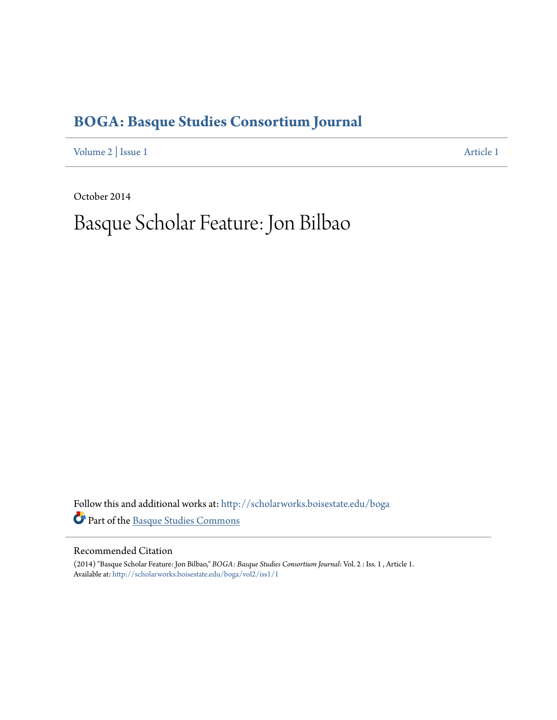### **[BOGA: Basque Studies Consortium Journal](http://scholarworks.boisestate.edu/boga?utm_source=scholarworks.boisestate.edu%2Fboga%2Fvol2%2Fiss1%2F1&utm_medium=PDF&utm_campaign=PDFCoverPages)**

[Volume 2](http://scholarworks.boisestate.edu/boga/vol2?utm_source=scholarworks.boisestate.edu%2Fboga%2Fvol2%2Fiss1%2F1&utm_medium=PDF&utm_campaign=PDFCoverPages) | [Issue 1](http://scholarworks.boisestate.edu/boga/vol2/iss1?utm_source=scholarworks.boisestate.edu%2Fboga%2Fvol2%2Fiss1%2F1&utm_medium=PDF&utm_campaign=PDFCoverPages) [Article 1](http://scholarworks.boisestate.edu/boga/vol2/iss1/1?utm_source=scholarworks.boisestate.edu%2Fboga%2Fvol2%2Fiss1%2F1&utm_medium=PDF&utm_campaign=PDFCoverPages)

October 2014

# Basque Scholar Feature: Jon Bilbao

Follow this and additional works at: [http://scholarworks.boisestate.edu/boga](http://scholarworks.boisestate.edu/boga?utm_source=scholarworks.boisestate.edu%2Fboga%2Fvol2%2Fiss1%2F1&utm_medium=PDF&utm_campaign=PDFCoverPages) Part of the [Basque Studies Commons](http://network.bepress.com/hgg/discipline/1244?utm_source=scholarworks.boisestate.edu%2Fboga%2Fvol2%2Fiss1%2F1&utm_medium=PDF&utm_campaign=PDFCoverPages)

#### Recommended Citation

(2014) "Basque Scholar Feature: Jon Bilbao," *BOGA: Basque Studies Consortium Journal*: Vol. 2 : Iss. 1 , Article 1. Available at: [http://scholarworks.boisestate.edu/boga/vol2/iss1/1](http://scholarworks.boisestate.edu/boga/vol2/iss1/1?utm_source=scholarworks.boisestate.edu%2Fboga%2Fvol2%2Fiss1%2F1&utm_medium=PDF&utm_campaign=PDFCoverPages)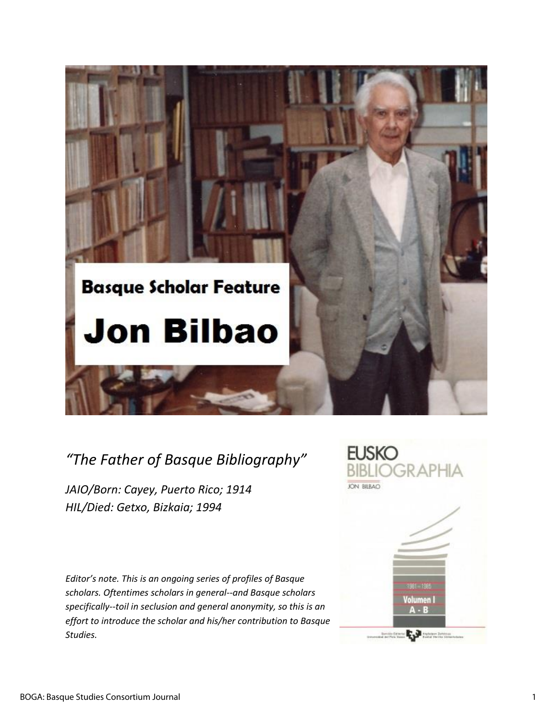

## *"The Father of Basque Bibliography"*

*JAIO/Born: Cayey, Puerto Rico; 1914 HIL/Died: Getxo, Bizkaia; 1994* 

*Editor's note. This is an ongoing series of profiles of Basque scholars. Oftentimes scholars in general--and Basque scholars specifically--toil in seclusion and general anonymity, so this is an effort to introduce the scholar and his/her contribution to Basque Studies.* 

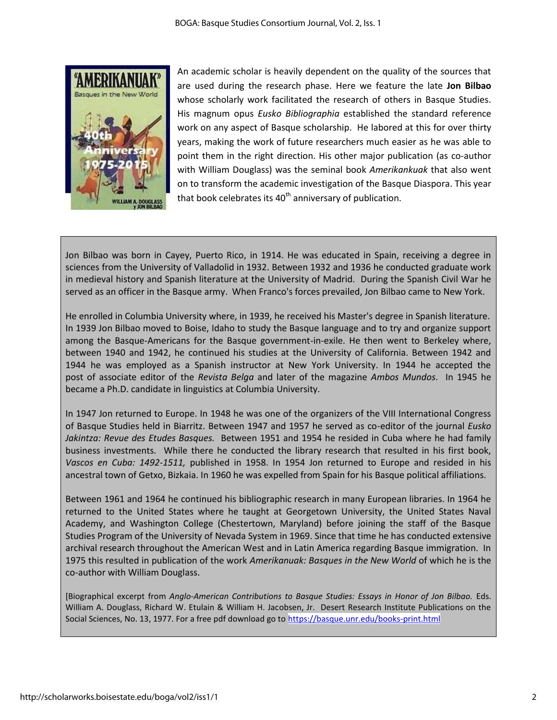

An academic scholar is heavily dependent on the quality of the sources that are used during the research phase. Here we feature the late **Jon Bilbao** whose scholarly work facilitated the research of others in Basque Studies. His magnum opus *Eusko Bibliographia* established the standard reference work on any aspect of Basque scholarship. He labored at this for over thirty years, making the work of future researchers much easier as he was able to point them in the right direction. His other major publication (as co-author with William Douglass) was the seminal book *Amerikankuak* that also went on to transform the academic investigation of the Basque Diaspora. This year that book celebrates its  $40<sup>th</sup>$  anniversary of publication.

Jon Bilbao was born in Cayey, Puerto Rico, in 1914. He was educated in Spain, receiving a degree in sciences from the University of Valladolid in 1932. Between 1932 and 1936 he conducted graduate work in medieval history and Spanish literature at the University of Madrid. During the Spanish Civil War he served as an officer in the Basque army. When Franco's forces prevailed, Jon Bilbao came to New York.

He enrolled in Columbia University where, in 1939, he received his Master's degree in Spanish literature. In 1939 Jon Bilbao moved to Boise, Idaho to study the Basque language and to try and organize support among the Basque-Americans for the Basque government-in-exile. He then went to Berkeley where, between 1940 and 1942, he continued his studies at the University of California. Between 1942 and 1944 he was employed as a Spanish instructor at New York University. In 1944 he accepted the post of associate editor of the *Revista Belga* and later of the magazine *Ambos Mundos*. In 1945 he became a Ph.D. candidate in linguistics at Columbia University.

In 1947 Jon returned to Europe. In 1948 he was one of the organizers of the VIII International Congress of Basque Studies held in Biarritz. Between 1947 and 1957 he served as co-editor of the journal *Eusko Jakintza: Revue des Etudes Basques.* Between 1951 and 1954 he resided in Cuba where he had family business investments. While there he conducted the library research that resulted in his first book, *Vascos en Cuba: 1492-1511,* published in 1958. In 1954 Jon returned to Europe and resided in his ancestral town of Getxo, Bizkaia. In 1960 he was expelled from Spain for his Basque political affiliations.

Between 1961 and 1964 he continued his bibliographic research in many European libraries. In 1964 he returned to the United States where he taught at Georgetown University, the United States Naval Academy, and Washington College (Chestertown, Maryland) before joining the staff of the Basque Studies Program of the University of Nevada System in 1969. Since that time he has conducted extensive archival research throughout the American West and in Latin America regarding Basque immigration. In 1975 this resulted in publication of the work *Amerikanuak: Basques in the New World* of which he is the co-author with William Douglass.

[Biographical excerpt from *Anglo-American Contributions to Basque Studies: Essays in Honor of Jon Bilbao.* Eds. William A. Douglass, Richard W. Etulain & William H. Jacobsen, Jr. Desert Research Institute Publications on the Social Sciences, No. 13, 1977. For a free pdf download go t[o https://basque.unr.edu/books-print.html](https://basque.unr.edu/books-print.html)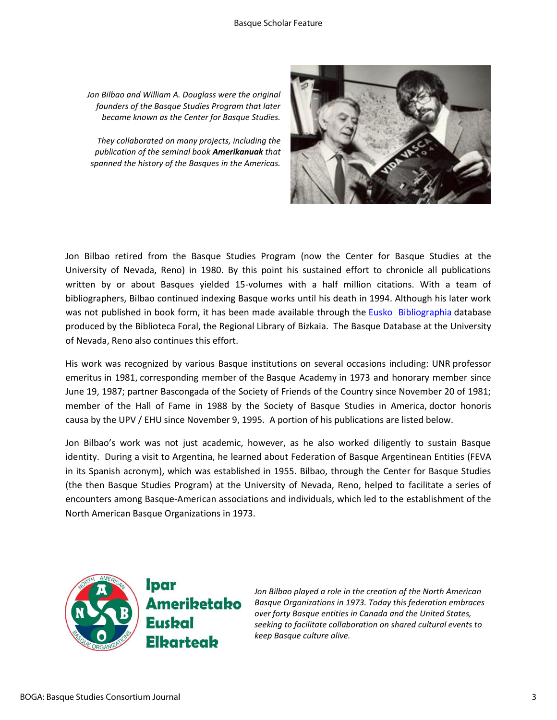#### Basque Scholar Feature

*Jon Bilbao and William A. Douglass were the original founders of the Basque Studies Program that later became known as the Center for Basque Studies.*

*They collaborated on many projects, including the publication of the seminal book Amerikanuak that spanned the history of the Basques in the Americas.*



Jon Bilbao retired from the Basque Studies Program (now the Center for Basque Studies at the University of Nevada, Reno) in 1980. By this point his sustained effort to chronicle all publications written by or about Basques yielded 15-volumes with a half million citations. With a team of bibliographers, Bilbao continued indexing Basque works until his death in 1994. Although his later work was not published in book form, it has been made available through the **Eusko Bibliographia** database produced by the Biblioteca Foral, the Regional Library of Bizkaia. The Basque Database at the University of Nevada, Reno also continues this effort.

His work was recognized by various Basque institutions on several occasions including: UNR professor emeritus in 1981, corresponding member of the Basque Academy in 1973 and honorary member since June 19, 1987; partner Bascongada of the Society of Friends of the Country since November 20 of 1981; member of the Hall of Fame in 1988 by the Society of Basque Studies in America, doctor honoris causa by the UPV / EHU since November 9, 1995. A portion of his publications are listed below.

Jon Bilbao's work was not just academic, however, as he also worked diligently to sustain Basque identity. During a visit to Argentina, he learned about Federation of Basque Argentinean Entities (FEVA in its Spanish acronym), which was established in 1955. Bilbao, through the Center for Basque Studies (the then Basque Studies Program) at the University of Nevada, Reno, helped to facilitate a series of encounters among Basque-American associations and individuals, which led to the establishment of the North American Basque Organizations in 1973.



lpar Ameriketako Eusbal **Elbarteab** 

*Jon Bilbao played a role in the creation of the North American Basque Organizations in 1973. Today this federation embraces over forty Basque entities in Canada and the United States, seeking to facilitate collaboration on shared cultural events to keep Basque culture alive.*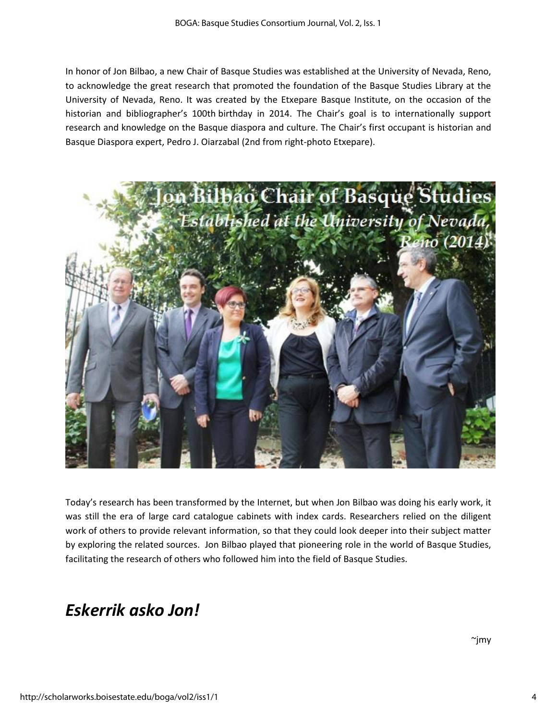In honor of Jon Bilbao, a new Chair of Basque Studies was established at the University of Nevada, Reno, to acknowledge the great research that promoted the foundation of the Basque Studies Library at the University of Nevada, Reno. It was created by the Etxepare Basque Institute, on the occasion of the historian and bibliographer's 100th birthday in 2014. The Chair's goal is to internationally support research and knowledge on the Basque diaspora and culture. The Chair's first occupant is historian and Basque Diaspora expert, Pedro J. Oiarzabal (2nd from right-photo Etxepare).



Today's research has been transformed by the Internet, but when Jon Bilbao was doing his early work, it was still the era of large card catalogue cabinets with index cards. Researchers relied on the diligent work of others to provide relevant information, so that they could look deeper into their subject matter by exploring the related sources. Jon Bilbao played that pioneering role in the world of Basque Studies, facilitating the research of others who followed him into the field of Basque Studies.

### *Eskerrik asko Jon!*

 $\sim$ jmy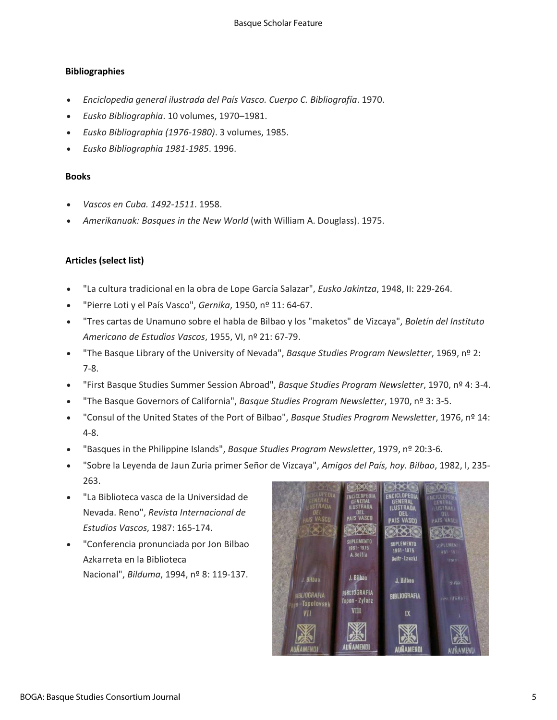#### **Bibliographies**

- *Enciclopedia general ilustrada del País Vasco. Cuerpo C. Bibliografía*. 1970.
- *Eusko Bibliographia*. 10 volumes, 1970–1981.
- *Eusko Bibliographia (1976-1980)*. 3 volumes, 1985.
- *Eusko Bibliographia 1981-1985*. 1996.

#### **Books**

- *Vascos en Cuba. 1492-1511*. 1958.
- *Amerikanuak: Basques in the New World* (with William A. Douglass). 1975.

#### **Articles (select list)**

- "La cultura tradicional en la obra de Lope García Salazar", *Eusko Jakintza*, 1948, II: 229-264.
- "Pierre Loti y el País Vasco", *Gernika*, 1950, nº 11: 64-67.
- "Tres cartas de Unamuno sobre el habla de Bilbao y los "maketos" de Vizcaya", *Boletín del Instituto Americano de Estudios Vascos*, 1955, VI, nº 21: 67-79.
- "The Basque Library of the University of Nevada", *Basque Studies Program Newsletter*, 1969, nº 2: 7-8.
- "First Basque Studies Summer Session Abroad", *Basque Studies Program Newsletter*, 1970, nº 4: 3-4.
- "The Basque Governors of California", *Basque Studies Program Newsletter*, 1970, nº 3: 3-5.
- "Consul of the United States of the Port of Bilbao", *Basque Studies Program Newsletter*, 1976, nº 14: 4-8.
- "Basques in the Philippine Islands", *Basque Studies Program Newsletter*, 1979, nº 20:3-6.
- "Sobre la Leyenda de Jaun Zuria primer Señor de Vizcaya", *Amigos del País, hoy. Bilbao*, 1982, I, 235- 263.
- "La Biblioteca vasca de la Universidad de Nevada. Reno", *Revista Internacional de Estudios Vascos*, 1987: 165-174.
- "Conferencia pronunciada por Jon Bilbao Azkarreta en la Biblioteca Nacional", *Bilduma*, 1994, nº 8: 119-137.

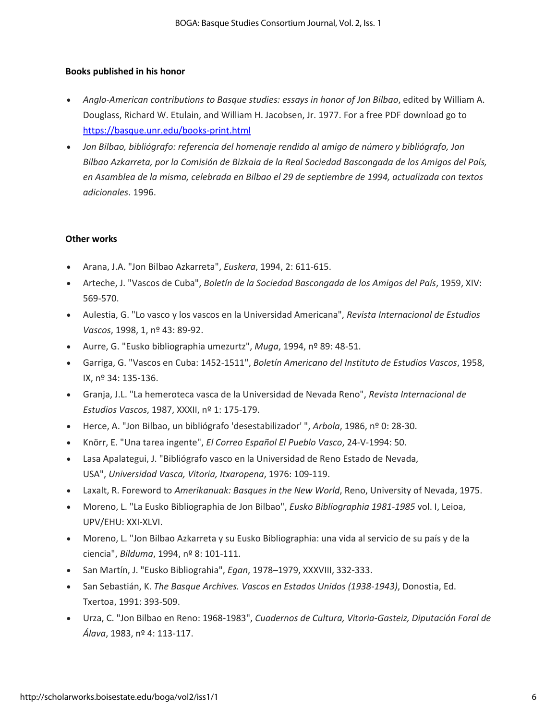#### **Books published in his honor**

- *Anglo-American contributions to Basque studies: essays in honor of Jon Bilbao*, edited by William A. Douglass, Richard W. Etulain, and William H. Jacobsen, Jr. 1977. For a free PDF download go to <https://basque.unr.edu/books-print.html>
- *Jon Bilbao, bibliógrafo: referencia del homenaje rendido al amigo de número y bibliógrafo, Jon Bilbao Azkarreta, por la Comisión de Bizkaia de la Real Sociedad Bascongada de los Amigos del País, en Asamblea de la misma, celebrada en Bilbao el 29 de septiembre de 1994, actualizada con textos adicionales*. 1996.

#### **Other works**

- Arana, J.A. "Jon Bilbao Azkarreta", *Euskera*, 1994, 2: 611-615.
- Arteche, J. "Vascos de Cuba", *Boletín de la Sociedad Bascongada de los Amigos del País*, 1959, XIV: 569-570.
- Aulestia, G. "Lo vasco y los vascos en la Universidad Americana", *Revista Internacional de Estudios Vascos*, 1998, 1, nº 43: 89-92.
- Aurre, G. "Eusko bibliographia umezurtz", *Muga*, 1994, nº 89: 48-51.
- Garriga, G. "Vascos en Cuba: 1452-1511", *Boletín Americano del Instituto de Estudios Vascos*, 1958, IX, nº 34: 135-136.
- Granja, J.L. "La hemeroteca vasca de la Universidad de Nevada Reno", *Revista Internacional de Estudios Vascos*, 1987, XXXII, nº 1: 175-179.
- Herce, A. "Jon Bilbao, un bibliógrafo 'desestabilizador' ", *Arbola*, 1986, nº 0: 28-30.
- Knörr, E. "Una tarea ingente", *El Correo Español El Pueblo Vasco*, 24-V-1994: 50.
- Lasa Apalategui, J. "Bibliógrafo vasco en la Universidad de Reno Estado de Nevada, USA", *Universidad Vasca, Vitoria, Itxaropena*, 1976: 109-119.
- Laxalt, R. Foreword to *Amerikanuak: Basques in the New World*, Reno, University of Nevada, 1975.
- Moreno, L. "La Eusko Bibliographia de Jon Bilbao", *Eusko Bibliographia 1981-1985* vol. I, Leioa, UPV/EHU: XXI-XLVI.
- Moreno, L. "Jon Bilbao Azkarreta y su Eusko Bibliographia: una vida al servicio de su país y de la ciencia", *Bilduma*, 1994, nº 8: 101-111.
- San Martín, J. "Eusko Bibliograhia", *Egan*, 1978–1979, XXXVIII, 332-333.
- San Sebastián, K. *The Basque Archives. Vascos en Estados Unidos (1938-1943)*, Donostia, Ed. Txertoa, 1991: 393-509.
- Urza, C. "Jon Bilbao en Reno: 1968-1983", *Cuadernos de Cultura, Vitoria-Gasteiz, Diputación Foral de Álava*, 1983, nº 4: 113-117.